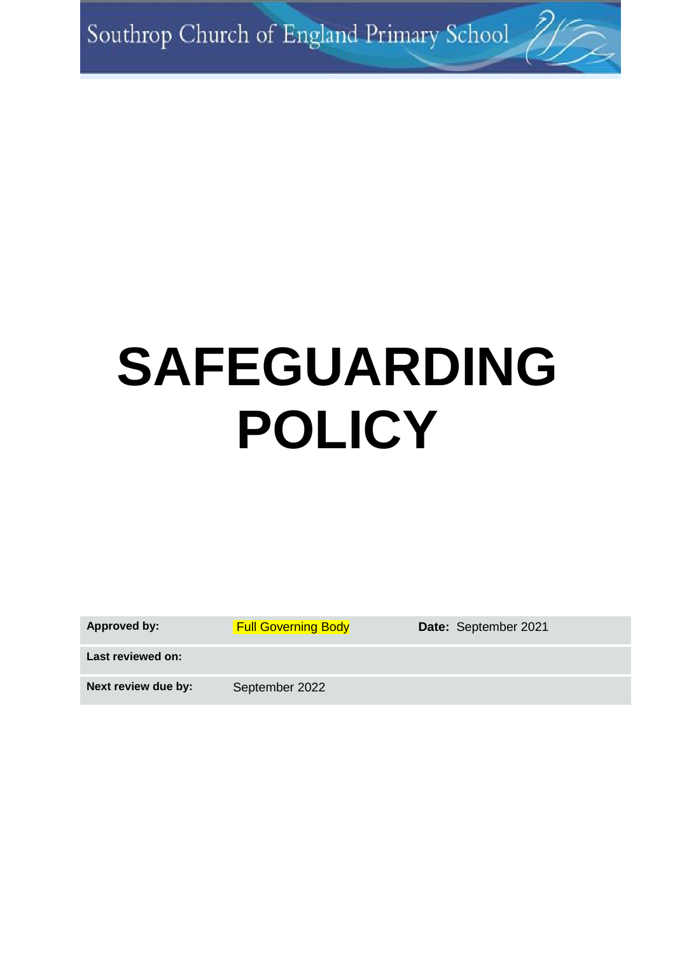Southrop Church of England Primary School

# **SAFEGUARDING POLICY**

| <b>Approved by:</b> |  |
|---------------------|--|
|---------------------|--|

**Full Governing Body Body Boate:** September 2021

**Last reviewed on:**

Next review due by: September 2022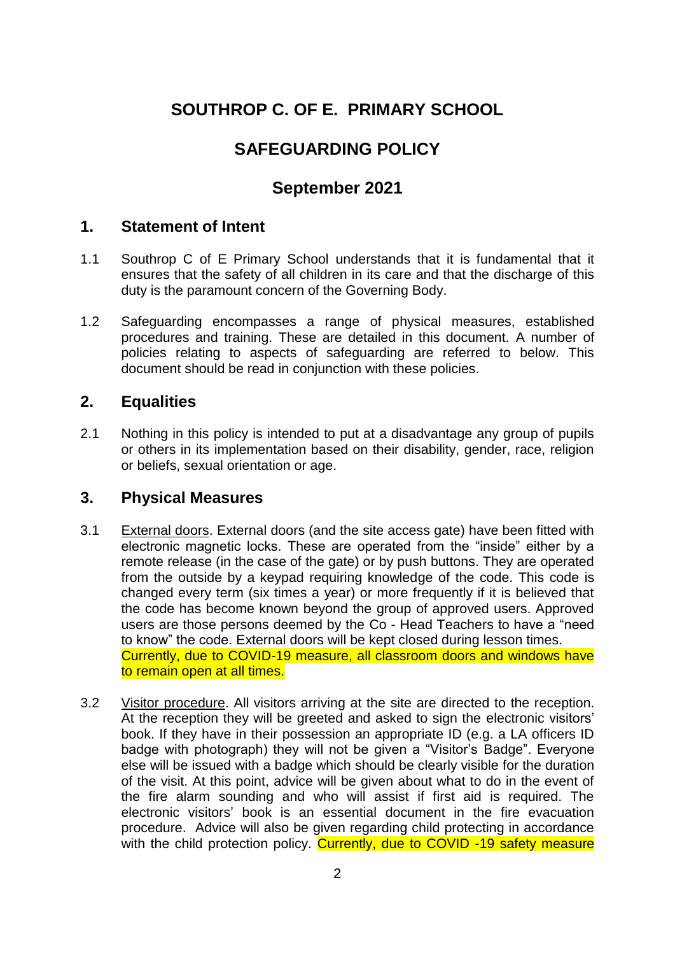# **SOUTHROP C. OF E. PRIMARY SCHOOL**

# **SAFEGUARDING POLICY**

# **September 2021**

## **1. Statement of Intent**

- 1.1 Southrop C of E Primary School understands that it is fundamental that it ensures that the safety of all children in its care and that the discharge of this duty is the paramount concern of the Governing Body.
- 1.2 Safeguarding encompasses a range of physical measures, established procedures and training. These are detailed in this document. A number of policies relating to aspects of safeguarding are referred to below. This document should be read in conjunction with these policies.

## **2. Equalities**

2.1 Nothing in this policy is intended to put at a disadvantage any group of pupils or others in its implementation based on their disability, gender, race, religion or beliefs, sexual orientation or age.

#### **3. Physical Measures**

- 3.1 External doors. External doors (and the site access gate) have been fitted with electronic magnetic locks. These are operated from the "inside" either by a remote release (in the case of the gate) or by push buttons. They are operated from the outside by a keypad requiring knowledge of the code. This code is changed every term (six times a year) or more frequently if it is believed that the code has become known beyond the group of approved users. Approved users are those persons deemed by the Co - Head Teachers to have a "need to know" the code. External doors will be kept closed during lesson times. Currently, due to COVID-19 measure, all classroom doors and windows have to remain open at all times.
- 3.2 Visitor procedure. All visitors arriving at the site are directed to the reception. At the reception they will be greeted and asked to sign the electronic visitors' book. If they have in their possession an appropriate ID (e.g. a LA officers ID badge with photograph) they will not be given a "Visitor's Badge". Everyone else will be issued with a badge which should be clearly visible for the duration of the visit. At this point, advice will be given about what to do in the event of the fire alarm sounding and who will assist if first aid is required. The electronic visitors' book is an essential document in the fire evacuation procedure. Advice will also be given regarding child protecting in accordance with the child protection policy. Currently, due to COVID -19 safety measure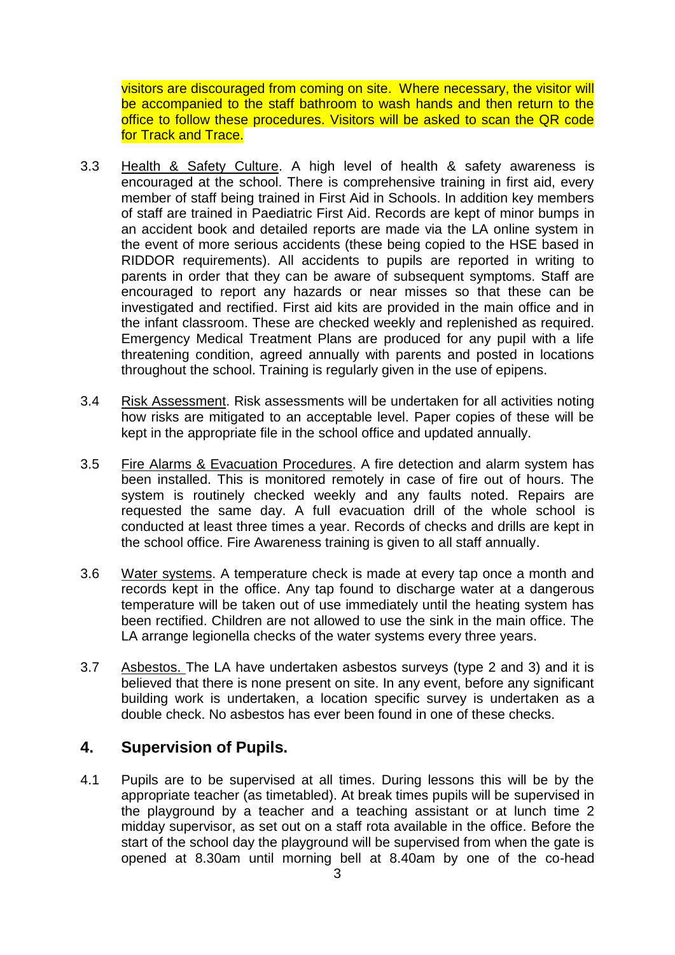visitors are discouraged from coming on site. Where necessary, the visitor will be accompanied to the staff bathroom to wash hands and then return to the office to follow these procedures. Visitors will be asked to scan the QR code for Track and Trace.

- 3.3 Health & Safety Culture. A high level of health & safety awareness is encouraged at the school. There is comprehensive training in first aid, every member of staff being trained in First Aid in Schools. In addition key members of staff are trained in Paediatric First Aid. Records are kept of minor bumps in an accident book and detailed reports are made via the LA online system in the event of more serious accidents (these being copied to the HSE based in RIDDOR requirements). All accidents to pupils are reported in writing to parents in order that they can be aware of subsequent symptoms. Staff are encouraged to report any hazards or near misses so that these can be investigated and rectified. First aid kits are provided in the main office and in the infant classroom. These are checked weekly and replenished as required. Emergency Medical Treatment Plans are produced for any pupil with a life threatening condition, agreed annually with parents and posted in locations throughout the school. Training is regularly given in the use of epipens.
- 3.4 Risk Assessment. Risk assessments will be undertaken for all activities noting how risks are mitigated to an acceptable level. Paper copies of these will be kept in the appropriate file in the school office and updated annually.
- 3.5 Fire Alarms & Evacuation Procedures. A fire detection and alarm system has been installed. This is monitored remotely in case of fire out of hours. The system is routinely checked weekly and any faults noted. Repairs are requested the same day. A full evacuation drill of the whole school is conducted at least three times a year. Records of checks and drills are kept in the school office. Fire Awareness training is given to all staff annually.
- 3.6 Water systems. A temperature check is made at every tap once a month and records kept in the office. Any tap found to discharge water at a dangerous temperature will be taken out of use immediately until the heating system has been rectified. Children are not allowed to use the sink in the main office. The LA arrange legionella checks of the water systems every three years.
- 3.7 Asbestos. The LA have undertaken asbestos surveys (type 2 and 3) and it is believed that there is none present on site. In any event, before any significant building work is undertaken, a location specific survey is undertaken as a double check. No asbestos has ever been found in one of these checks.

#### **4. Supervision of Pupils.**

4.1 Pupils are to be supervised at all times. During lessons this will be by the appropriate teacher (as timetabled). At break times pupils will be supervised in the playground by a teacher and a teaching assistant or at lunch time 2 midday supervisor, as set out on a staff rota available in the office. Before the start of the school day the playground will be supervised from when the gate is opened at 8.30am until morning bell at 8.40am by one of the co-head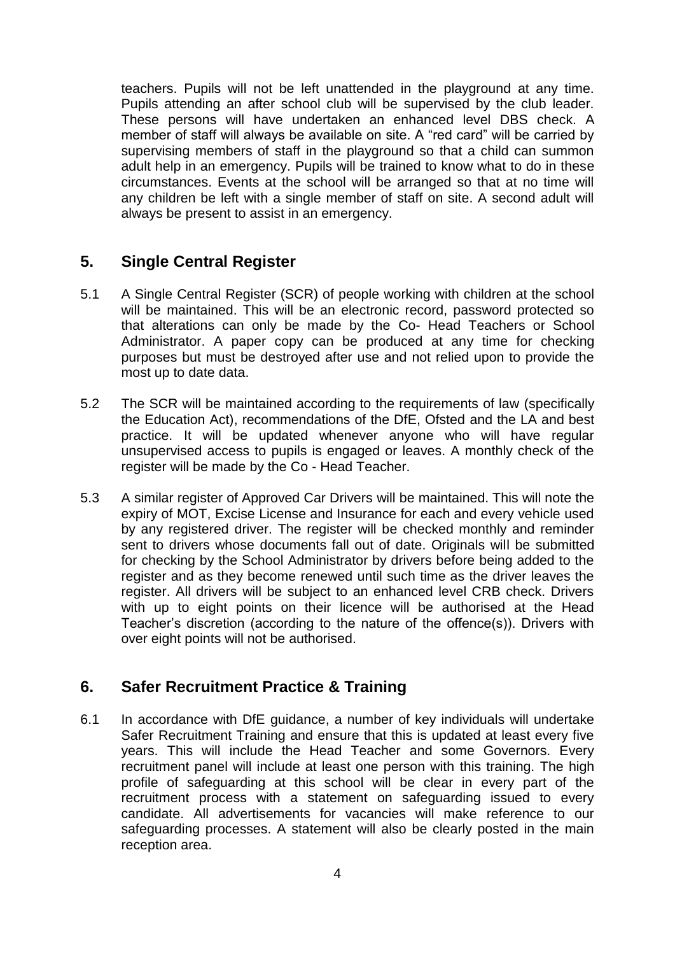teachers. Pupils will not be left unattended in the playground at any time. Pupils attending an after school club will be supervised by the club leader. These persons will have undertaken an enhanced level DBS check. A member of staff will always be available on site. A "red card" will be carried by supervising members of staff in the playground so that a child can summon adult help in an emergency. Pupils will be trained to know what to do in these circumstances. Events at the school will be arranged so that at no time will any children be left with a single member of staff on site. A second adult will always be present to assist in an emergency.

## **5. Single Central Register**

- 5.1 A Single Central Register (SCR) of people working with children at the school will be maintained. This will be an electronic record, password protected so that alterations can only be made by the Co- Head Teachers or School Administrator. A paper copy can be produced at any time for checking purposes but must be destroyed after use and not relied upon to provide the most up to date data.
- 5.2 The SCR will be maintained according to the requirements of law (specifically the Education Act), recommendations of the DfE, Ofsted and the LA and best practice. It will be updated whenever anyone who will have regular unsupervised access to pupils is engaged or leaves. A monthly check of the register will be made by the Co - Head Teacher.
- 5.3 A similar register of Approved Car Drivers will be maintained. This will note the expiry of MOT, Excise License and Insurance for each and every vehicle used by any registered driver. The register will be checked monthly and reminder sent to drivers whose documents fall out of date. Originals will be submitted for checking by the School Administrator by drivers before being added to the register and as they become renewed until such time as the driver leaves the register. All drivers will be subject to an enhanced level CRB check. Drivers with up to eight points on their licence will be authorised at the Head Teacher's discretion (according to the nature of the offence(s)). Drivers with over eight points will not be authorised.

# **6. Safer Recruitment Practice & Training**

6.1 In accordance with DfE guidance, a number of key individuals will undertake Safer Recruitment Training and ensure that this is updated at least every five years. This will include the Head Teacher and some Governors. Every recruitment panel will include at least one person with this training. The high profile of safeguarding at this school will be clear in every part of the recruitment process with a statement on safeguarding issued to every candidate. All advertisements for vacancies will make reference to our safeguarding processes. A statement will also be clearly posted in the main reception area.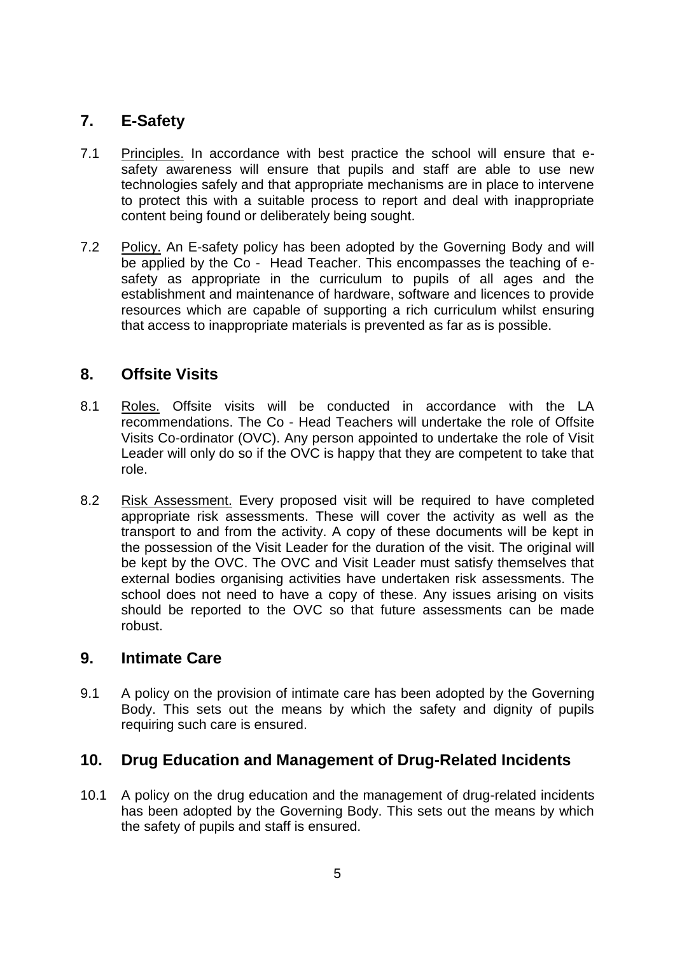# **7. E-Safety**

- 7.1 Principles. In accordance with best practice the school will ensure that esafety awareness will ensure that pupils and staff are able to use new technologies safely and that appropriate mechanisms are in place to intervene to protect this with a suitable process to report and deal with inappropriate content being found or deliberately being sought.
- 7.2 Policy. An E-safety policy has been adopted by the Governing Body and will be applied by the Co - Head Teacher. This encompasses the teaching of esafety as appropriate in the curriculum to pupils of all ages and the establishment and maintenance of hardware, software and licences to provide resources which are capable of supporting a rich curriculum whilst ensuring that access to inappropriate materials is prevented as far as is possible.

# **8. Offsite Visits**

- 8.1 Roles. Offsite visits will be conducted in accordance with the LA recommendations. The Co - Head Teachers will undertake the role of Offsite Visits Co-ordinator (OVC). Any person appointed to undertake the role of Visit Leader will only do so if the OVC is happy that they are competent to take that role.
- 8.2 Risk Assessment. Every proposed visit will be required to have completed appropriate risk assessments. These will cover the activity as well as the transport to and from the activity. A copy of these documents will be kept in the possession of the Visit Leader for the duration of the visit. The original will be kept by the OVC. The OVC and Visit Leader must satisfy themselves that external bodies organising activities have undertaken risk assessments. The school does not need to have a copy of these. Any issues arising on visits should be reported to the OVC so that future assessments can be made robust.

#### **9. Intimate Care**

9.1 A policy on the provision of intimate care has been adopted by the Governing Body. This sets out the means by which the safety and dignity of pupils requiring such care is ensured.

## **10. Drug Education and Management of Drug-Related Incidents**

10.1 A policy on the drug education and the management of drug-related incidents has been adopted by the Governing Body. This sets out the means by which the safety of pupils and staff is ensured.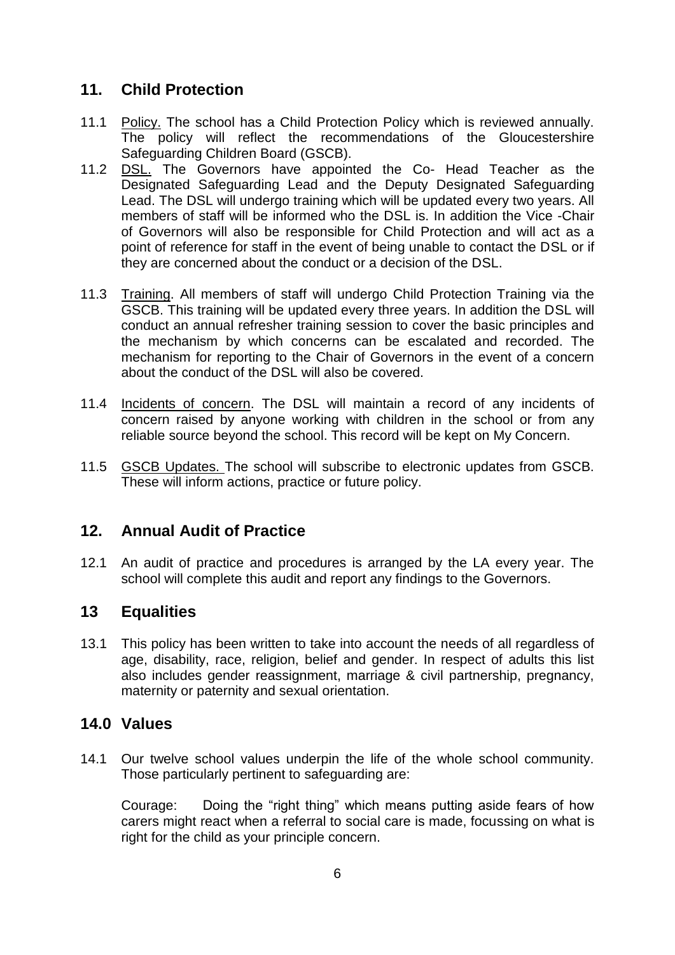# **11. Child Protection**

- 11.1 Policy. The school has a Child Protection Policy which is reviewed annually. The policy will reflect the recommendations of the Gloucestershire Safeguarding Children Board (GSCB).
- 11.2 DSL. The Governors have appointed the Co- Head Teacher as the Designated Safeguarding Lead and the Deputy Designated Safeguarding Lead. The DSL will undergo training which will be updated every two years. All members of staff will be informed who the DSL is. In addition the Vice -Chair of Governors will also be responsible for Child Protection and will act as a point of reference for staff in the event of being unable to contact the DSL or if they are concerned about the conduct or a decision of the DSL.
- 11.3 Training. All members of staff will undergo Child Protection Training via the GSCB. This training will be updated every three years. In addition the DSL will conduct an annual refresher training session to cover the basic principles and the mechanism by which concerns can be escalated and recorded. The mechanism for reporting to the Chair of Governors in the event of a concern about the conduct of the DSL will also be covered.
- 11.4 Incidents of concern. The DSL will maintain a record of any incidents of concern raised by anyone working with children in the school or from any reliable source beyond the school. This record will be kept on My Concern.
- 11.5 GSCB Updates. The school will subscribe to electronic updates from GSCB. These will inform actions, practice or future policy.

# **12. Annual Audit of Practice**

12.1 An audit of practice and procedures is arranged by the LA every year. The school will complete this audit and report any findings to the Governors.

# **13 Equalities**

13.1 This policy has been written to take into account the needs of all regardless of age, disability, race, religion, belief and gender. In respect of adults this list also includes gender reassignment, marriage & civil partnership, pregnancy, maternity or paternity and sexual orientation.

## **14.0 Values**

14.1 Our twelve school values underpin the life of the whole school community. Those particularly pertinent to safeguarding are:

Courage: Doing the "right thing" which means putting aside fears of how carers might react when a referral to social care is made, focussing on what is right for the child as your principle concern.